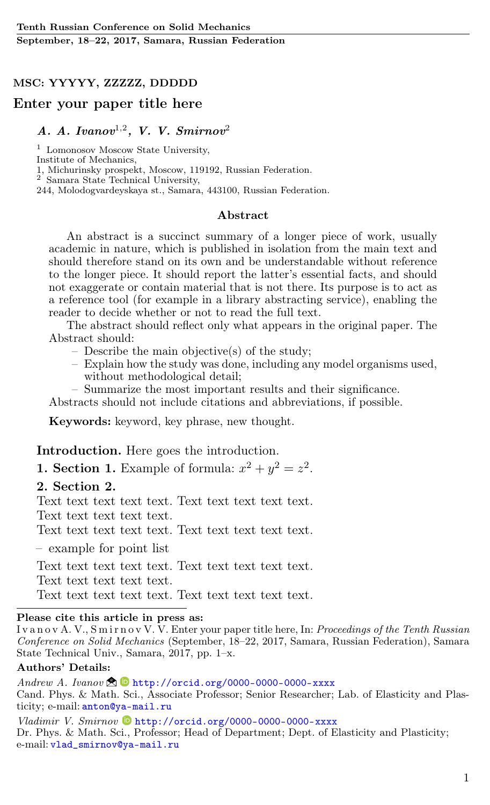## MSC: YYYYY, ZZZZZ, DDDDD

### Enter your paper title here

# $A. A. Ivanov<sup>1,2</sup>, V. V. Smirnov<sup>2</sup>$

<sup>1</sup> Lomonosov Moscow State University, Institute of Mechanics,

1, Michurinsky prospekt, Moscow, 119192, Russian Federation.

 $2^{7}$  Samara State Technical University,

244, Molodogvardeyskaya st., Samara, 443100, Russian Federation.

#### Abstract

An abstract is a succinct summary of a longer piece of work, usually academic in nature, which is published in isolation from the main text and should therefore stand on its own and be understandable without reference to the longer piece. It should report the latter's essential facts, and should not exaggerate or contain material that is not there. Its purpose is to act as a reference tool (for example in a library abstracting service), enabling the reader to decide whether or not to read the full text.

The abstract should reflect only what appears in the original paper. The Abstract should:

- Describe the main objective(s) of the study;
- Explain how the study was done, including any model organisms used, without methodological detail;
- Summarize the most important results and their significance.

Abstracts should not include citations and abbreviations, if possible.

Keywords: keyword, key phrase, new thought.

Introduction. Here goes the introduction.

**1. Section 1.** Example of formula:  $x^2 + y^2 = z^2$ .

#### 2. Section 2.

Text text text text text. Text text text text text. Text text text text text.

Text text text text text. Text text text text text.

– example for point list

Text text text text text. Text text text text text.

Text text text text text.

Text text text text text. Text text text text text.

#### Please cite this article in press as:

Ivanov A. V., Smirnov V. V. Enter your paper title here, In: Proceedings of the Tenth Russian Conference on Solid Mechanics (September, 18–22, 2017, Samara, Russian Federation), Samara State Technical Univ., Samara, 2017, pp. 1–x.

#### Authors' Details:

Andrew A. Ivanov  $\bigotimes$  bittp://orcid.org/0000-0000-0000-xxxx Cand. Phys. & Math[. Sc](http://orcid.org/0000-0000-0000-xxxx)i., Associate Professor; Senior Researcher; Lab. of Elasticity and Plasticity; e-mail: [anton@ya-mail.ru](mailto:anton@ya-mail.ru)

 $Vladimir$   $V.$   $Smirnov$   $\bullet$   $http://orcid.org/0000-0000-0000-xxxxx$  $http://orcid.org/0000-0000-0000-xxxxx$ Dr. Phys. & Math. S[ci.,](http://orcid.org/0000-0000-0000-xxxx) Professor; Head of Department; Dept. of Elasticity and Plasticity; e-mail: [vlad\\_smirnov@ya-mail.ru](mailto:vlad_smirnov@ya-mail.ru)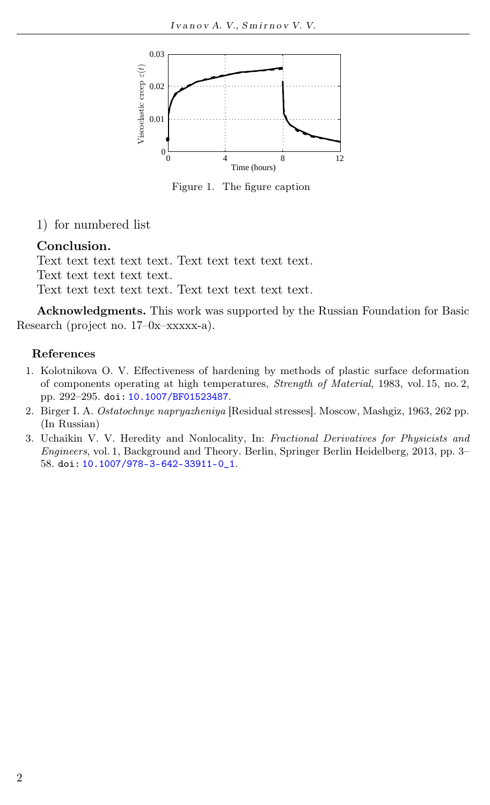

Figure 1. The figure caption

1) for numbered list

# Conclusion.

Text text text text text. Text text text text text. Text text text text text. Text text text text text. Text text text text text.

Acknowledgments. This work was supported by the Russian Foundation for Basic Research (project no. 17–0x–xxxxx-a).

### References

- 1. Kolotnikova O. V. Effectiveness of hardening by methods of plastic surface deformation of components operating at high temperatures, Strength of Material, 1983, vol. 15, no. 2, pp. 292–295. doi: [10.1007/BF01523487](http://dx.doi.org/10.1007/BF01523487).
- 2. Birger I. A. Ostatochnye napryazheniya [Residual stresses]. Moscow, Mashgiz, 1963, 262 pp. (In Russian)
- 3. Uchaikin V. V. Heredity and Nonlocality, In: Fractional Derivatives for Physicists and Engineers, vol. 1, Background and Theory. Berlin, Springer Berlin Heidelberg, 2013, pp. 3– 58. doi: [10.1007/978-3-642-33911-0\\_1](http://dx.doi.org/10.1007/978-3-642-33911-0_1).